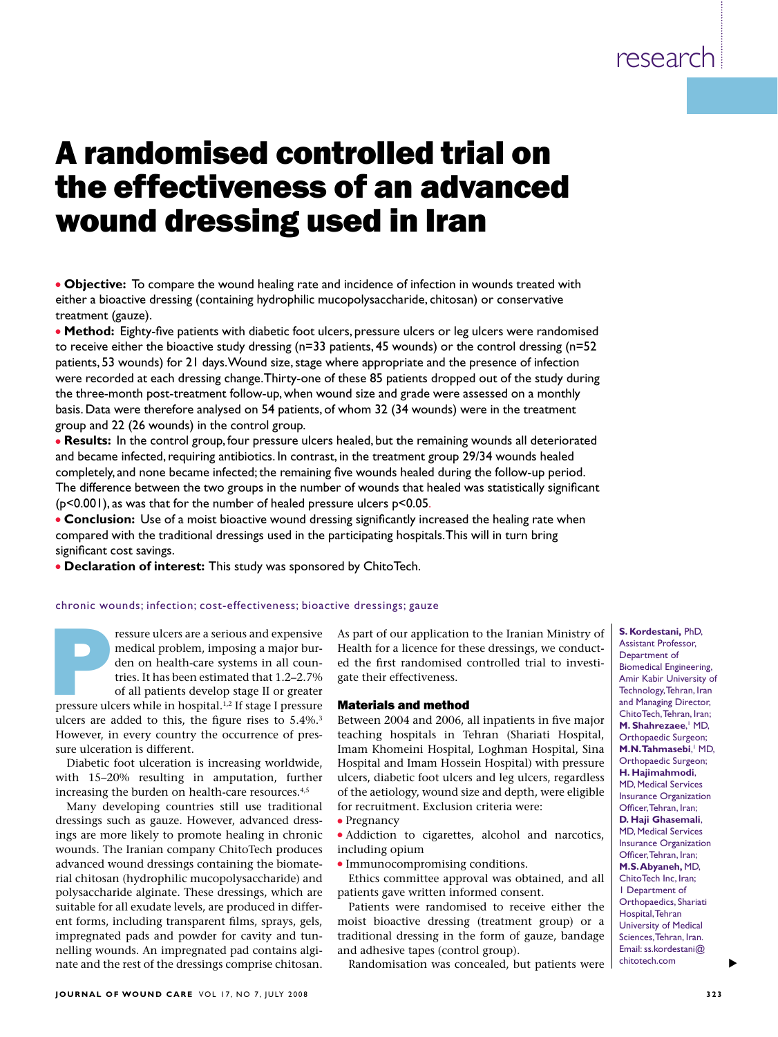# A randomised controlled trial on the effectiveness of an advanced wound dressing used in Iran

**· Objective:** To compare the wound healing rate and incidence of infection in wounds treated with either a bioactive dressing (containing hydrophilic mucopolysaccharide, chitosan) or conservative treatment (gauze).

**Method:** Eighty-five patients with diabetic foot ulcers, pressure ulcers or leg ulcers were randomised to receive either the bioactive study dressing (n=33 patients, 45 wounds) or the control dressing (n=52 patients, 53 wounds) for 21 days. Wound size, stage where appropriate and the presence of infection were recorded at each dressing change. Thirty-one of these 85 patients dropped out of the study during the three-month post-treatment follow-up, when wound size and grade were assessed on a monthly basis. Data were therefore analysed on 54 patients, of whom 32 (34 wounds) were in the treatment group and 22 (26 wounds) in the control group.

**Results:** In the control group, four pressure ulcers healed, but the remaining wounds all deteriorated and became infected, requiring antibiotics. In contrast, in the treatment group 29/34 wounds healed completely, and none became infected; the remaining five wounds healed during the follow-up period. The difference between the two groups in the number of wounds that healed was statistically significant (p<0.001), as was that for the number of healed pressure ulcers p<0.05.

**Conclusion:** Use of a moist bioactive wound dressing significantly increased the healing rate when compared with the traditional dressings used in the participating hospitals. This will in turn bring significant cost savings.

**• Declaration of interest:** This study was sponsored by ChitoTech.

#### chronic wounds; infection; cost-effectiveness; bioactive dressings; gauze

ressure ulcers are a serious and expensive<br>medical problem, imposing a major bur-<br>den on health-care systems in all coun-<br>tries. It has been estimated that 1.2–2.7%<br>of all patients develop stage II or greater<br>pressure ulce medical problem, imposing a major burden on health-care systems in all countries. It has been estimated that 1.2–2.7% of all patients develop stage II or greater ulcers are added to this, the figure rises to 5.4%.<sup>3</sup> However, in every country the occurrence of pressure ulceration is different.

Diabetic foot ulceration is increasing worldwide, with 15–20% resulting in amputation, further increasing the burden on health-care resources.<sup>4,5</sup>

Many developing countries still use traditional dressings such as gauze. However, advanced dressings are more likely to promote healing in chronic wounds. The Iranian company ChitoTech produces advanced wound dressings containing the biomaterial chitosan (hydrophilic mucopolysaccharide) and polysaccharide alginate. These dressings, which are suitable for all exudate levels, are produced in different forms, including transparent films, sprays, gels, impregnated pads and powder for cavity and tunnelling wounds. An impregnated pad contains alginate and the rest of the dressings comprise chitosan. As part of our application to the Iranian Ministry of Health for a licence for these dressings, we conducted the first randomised controlled trial to investigate their effectiveness.

#### Materials and method

Between 2004 and 2006, all inpatients in five major teaching hospitals in Tehran (Shariati Hospital, Imam Khomeini Hospital, Loghman Hospital, Sina Hospital and Imam Hossein Hospital) with pressure ulcers, diabetic foot ulcers and leg ulcers, regardless of the aetiology, wound size and depth, were eligible for recruitment. Exclusion criteria were: • Pregnancy

• Addiction to cigarettes, alcohol and narcotics, including opium

• Immunocompromising conditions.

Ethics committee approval was obtained, and all patients gave written informed consent.

Patients were randomised to receive either the moist bioactive dressing (treatment group) or a traditional dressing in the form of gauze, bandage and adhesive tapes (control group).

Randomisation was concealed, but patients were

**S. Kordestani,** PhD, Assistant Professor, Department of Biomedical Engineering, Amir Kabir University of Technology, Tehran, Iran and Managing Director, ChitoTech, Tehran, Iran; M. Shahrezaee,<sup>1</sup> MD, Orthopaedic Surgeon; **M.N. Tahmasebi, MD,** Orthopaedic Surgeon; **H. Hajimahmodi**, MD, Medical Services Insurance Organization Officer, Tehran, Iran; **D. Haji Ghasemali**, MD, Medical Services Insurance Organization Officer, Tehran, Iran; **M.S. Abyaneh,** MD, ChitoTech Inc, Iran; 1 Department of Orthopaedics, Shariati Hospital, Tehran University of Medical Sciences, Tehran, Iran. Email: ss.kordestani@ chitotech.com

s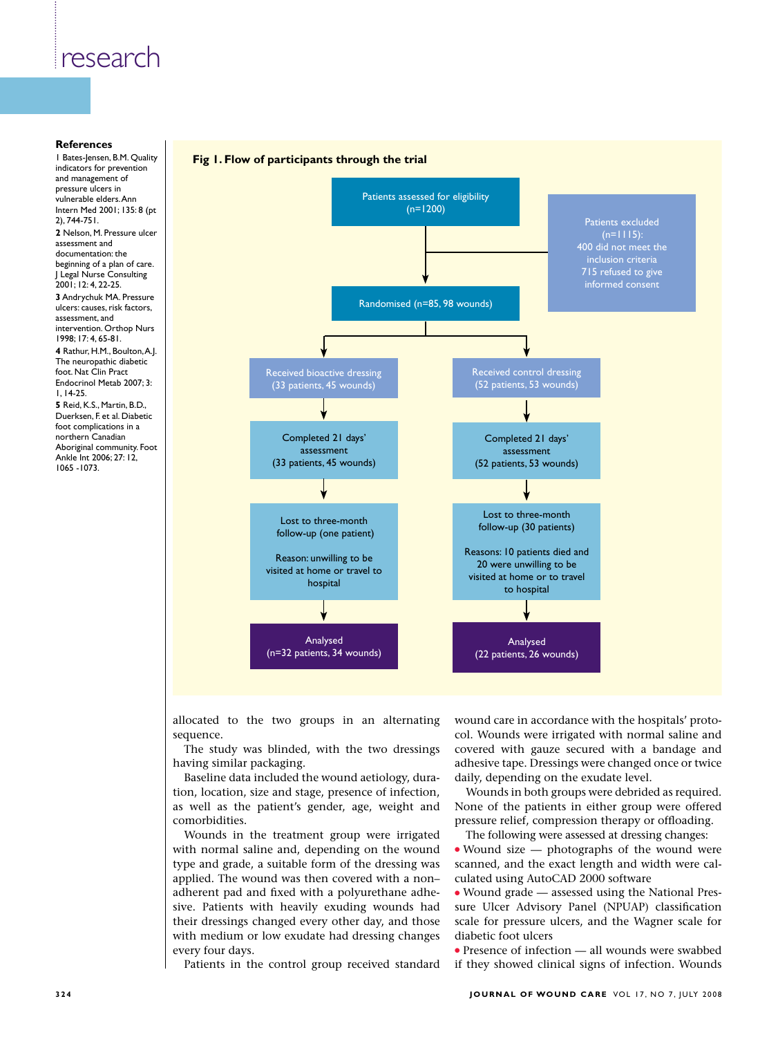#### **References**

1 Bates-Jensen, B.M. Quality indicators for prevention and management of pressure ulcers in vulnerable elders. Ann Intern Med 2001; 135: 8 (pt 2), 744-751. **2** Nelson, M. Pressure ulcer assessment and documentation: the beginning of a plan of care. J Legal Nurse Consulting 2001; 12: 4, 22-25. **3** Andrychuk MA. Pressure ulcers: causes, risk factors, assessment, and intervention. Orthop Nurs 1998; 17: 4, 65-81. **4** Rathur, H.M., Boulton, A.J. The neuropathic diabetic foot. Nat Clin Pract Endocrinol Metab 2007; 3: 1, 14-25. **5** Reid, K.S., Martin, B.D., Duerksen, F. et al. Diabetic foot complications in a northern Canadian Aboriginal community. Foot Ankle Int 2006; 27: 12, 1065 -1073.

#### **Fig 1. Flow of participants through the trial**



allocated to the two groups in an alternating sequence.

The study was blinded, with the two dressings having similar packaging.

Baseline data included the wound aetiology, duration, location, size and stage, presence of infection, as well as the patient's gender, age, weight and comorbidities.

Wounds in the treatment group were irrigated with normal saline and, depending on the wound type and grade, a suitable form of the dressing was applied. The wound was then covered with a non– adherent pad and fixed with a polyurethane adhesive. Patients with heavily exuding wounds had their dressings changed every other day, and those with medium or low exudate had dressing changes every four days.

Patients in the control group received standard

wound care in accordance with the hospitals' protocol. Wounds were irrigated with normal saline and covered with gauze secured with a bandage and adhesive tape. Dressings were changed once or twice daily, depending on the exudate level.

Wounds in both groups were debrided as required. None of the patients in either group were offered pressure relief, compression therapy or offloading.

The following were assessed at dressing changes:

 $\bullet$  Wound size — photographs of the wound were scanned, and the exact length and width were calculated using AutoCAD 2000 software

<sup>l</sup> Wound grade — assessed using the National Pressure Ulcer Advisory Panel (NPUAP) classification scale for pressure ulcers, and the Wagner scale for diabetic foot ulcers

 $\bullet$  Presence of infection — all wounds were swabbed if they showed clinical signs of infection. Wounds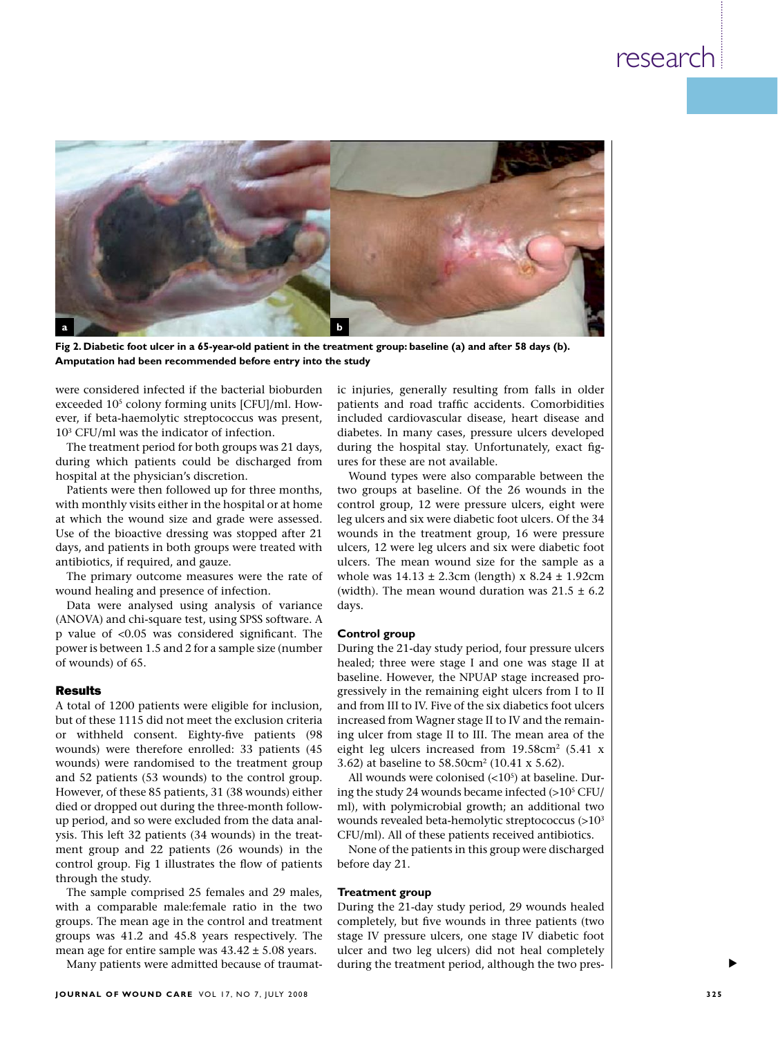

**Fig 2. Diabetic foot ulcer in a 65-year-old patient in the treatment group: baseline (a) and after 58 days (b). Amputation had been recommended before entry into the study**

were considered infected if the bacterial bioburden exceeded  $10<sup>5</sup>$  colony forming units [CFU]/ml. However, if beta-haemolytic streptococcus was present, 103 CFU/ml was the indicator of infection.

The treatment period for both groups was 21 days, during which patients could be discharged from hospital at the physician's discretion.

Patients were then followed up for three months, with monthly visits either in the hospital or at home at which the wound size and grade were assessed. Use of the bioactive dressing was stopped after 21 days, and patients in both groups were treated with antibiotics, if required, and gauze.

The primary outcome measures were the rate of wound healing and presence of infection.

Data were analysed using analysis of variance (ANOVA) and chi-square test, using SPSS software. A p value of <0.05 was considered significant. The power is between 1.5 and 2 for a sample size (number of wounds) of 65.

#### Results

A total of 1200 patients were eligible for inclusion, but of these 1115 did not meet the exclusion criteria or withheld consent. Eighty-five patients (98 wounds) were therefore enrolled: 33 patients (45 wounds) were randomised to the treatment group and 52 patients (53 wounds) to the control group. However, of these 85 patients, 31 (38 wounds) either died or dropped out during the three-month followup period, and so were excluded from the data analysis. This left 32 patients (34 wounds) in the treatment group and 22 patients (26 wounds) in the control group. Fig 1 illustrates the flow of patients through the study.

The sample comprised 25 females and 29 males, with a comparable male:female ratio in the two groups. The mean age in the control and treatment groups was 41.2 and 45.8 years respectively. The mean age for entire sample was 43.42 ± 5.08 years.

Many patients were admitted because of traumat-

ic injuries, generally resulting from falls in older patients and road traffic accidents. Comorbidities included cardiovascular disease, heart disease and diabetes. In many cases, pressure ulcers developed during the hospital stay. Unfortunately, exact figures for these are not available.

Wound types were also comparable between the two groups at baseline. Of the 26 wounds in the control group, 12 were pressure ulcers, eight were leg ulcers and six were diabetic foot ulcers. Of the 34 wounds in the treatment group, 16 were pressure ulcers, 12 were leg ulcers and six were diabetic foot ulcers. The mean wound size for the sample as a whole was  $14.13 \pm 2.3$ cm (length) x  $8.24 \pm 1.92$ cm (width). The mean wound duration was  $21.5 \pm 6.2$ days.

#### **Control group**

During the 21-day study period, four pressure ulcers healed; three were stage I and one was stage II at baseline. However, the NPUAP stage increased progressively in the remaining eight ulcers from I to II and from III to IV. Five of the six diabetics foot ulcers increased from Wagner stage II to IV and the remaining ulcer from stage II to III. The mean area of the eight leg ulcers increased from  $19.58 \text{cm}^2$  (5.41 x 3.62) at baseline to 58.50cm2 (10.41 x 5.62).

All wounds were colonised  $\left( <10<sup>5</sup> \right)$  at baseline. During the study 24 wounds became infected  $(>10^5$  CFU/ ml), with polymicrobial growth; an additional two wounds revealed beta-hemolytic streptococcus (>103 CFU/ml). All of these patients received antibiotics.

None of the patients in this group were discharged before day 21.

#### **Treatment group**

During the 21-day study period, 29 wounds healed completely, but five wounds in three patients (two stage IV pressure ulcers, one stage IV diabetic foot ulcer and two leg ulcers) did not heal completely during the treatment period, although the two pres-

s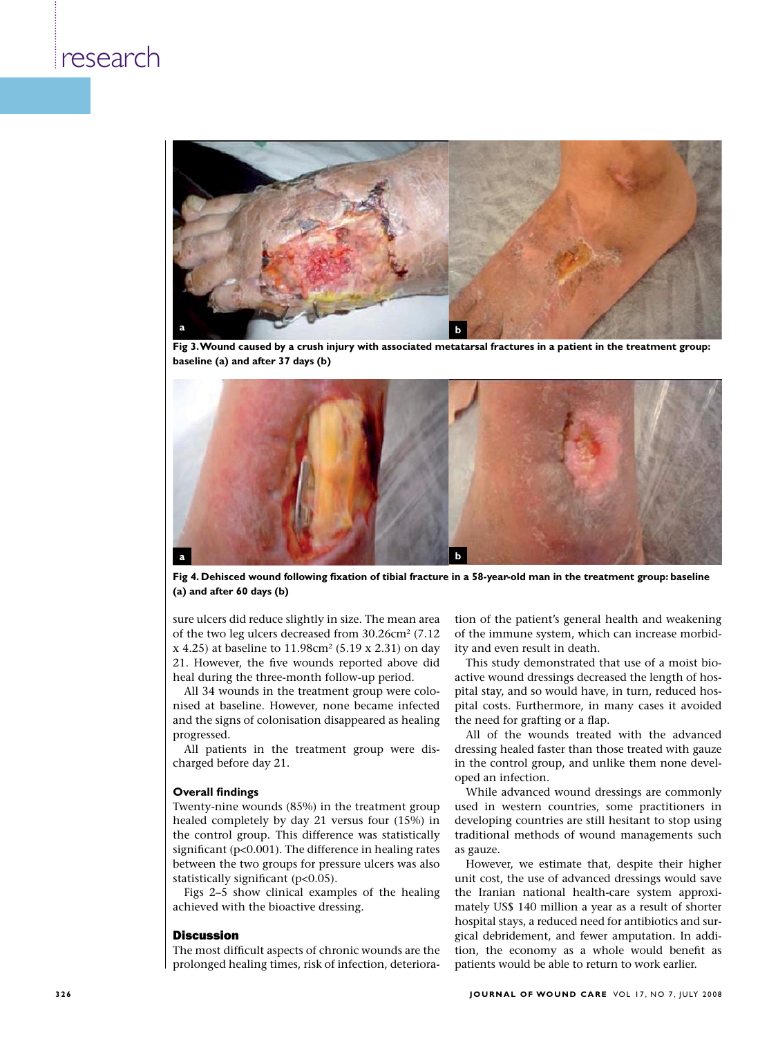

**Fig 3. Wound caused by a crush injury with associated metatarsal fractures in a patient in the treatment group: baseline (a) and after 37 days (b)**



**Fig 4. Dehisced wound following fixation of tibial fracture in a 58-year-old man in the treatment group: baseline (a) and after 60 days (b)**

sure ulcers did reduce slightly in size. The mean area of the two leg ulcers decreased from 30.26cm<sup>2</sup> (7.12)  $x$  4.25) at baseline to 11.98cm<sup>2</sup> (5.19 x 2.31) on day 21. However, the five wounds reported above did heal during the three-month follow-up period.

All 34 wounds in the treatment group were colonised at baseline. However, none became infected and the signs of colonisation disappeared as healing progressed.

All patients in the treatment group were discharged before day 21.

#### **Overall findings**

Twenty-nine wounds (85%) in the treatment group healed completely by day 21 versus four (15%) in the control group. This difference was statistically significant (p<0.001). The difference in healing rates between the two groups for pressure ulcers was also statistically significant  $(p<0.05)$ .

Figs 2–5 show clinical examples of the healing achieved with the bioactive dressing.

#### Discussion

The most difficult aspects of chronic wounds are the prolonged healing times, risk of infection, deterioration of the patient's general health and weakening of the immune system, which can increase morbidity and even result in death.

This study demonstrated that use of a moist bioactive wound dressings decreased the length of hospital stay, and so would have, in turn, reduced hospital costs. Furthermore, in many cases it avoided the need for grafting or a flap.

All of the wounds treated with the advanced dressing healed faster than those treated with gauze in the control group, and unlike them none developed an infection.

While advanced wound dressings are commonly used in western countries, some practitioners in developing countries are still hesitant to stop using traditional methods of wound managements such as gauze.

However, we estimate that, despite their higher unit cost, the use of advanced dressings would save the Iranian national health-care system approximately US\$ 140 million a year as a result of shorter hospital stays, a reduced need for antibiotics and surgical debridement, and fewer amputation. In addition, the economy as a whole would benefit as patients would be able to return to work earlier.